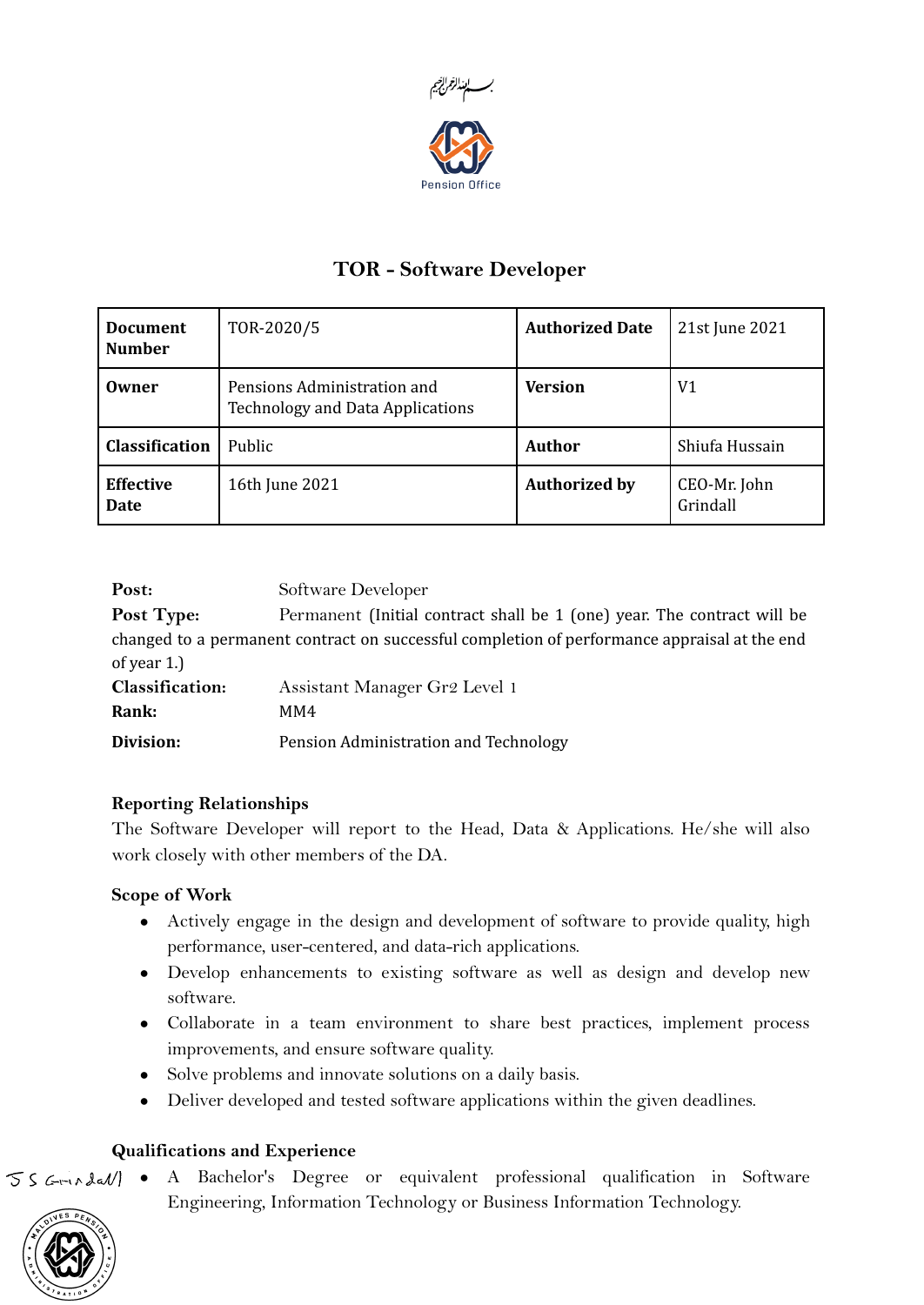

# TOR - Software Developer

| <b>Document</b><br><b>Number</b> | TOR-2020/5                                                             | <b>Authorized Date</b> | 21st June 2021           |
|----------------------------------|------------------------------------------------------------------------|------------------------|--------------------------|
| Owner                            | Pensions Administration and<br><b>Technology and Data Applications</b> | <b>Version</b>         | V1                       |
| <b>Classification</b>            | Public                                                                 | Author                 | Shiufa Hussain           |
| <b>Effective</b><br>Date         | 16th June 2021                                                         | <b>Authorized by</b>   | CEO-Mr. John<br>Grindall |

Post: Software Developer Post Type: Permanent (Initial contract shall be 1 (one) year. The contract will be changed to a permanent contract on successful completion of performance appraisal at the end of year 1.) Classification: Assistant Manager Gr2 Level 1 Rank: MM4 Division: Pension Administration and Technology

#### Reporting Relationships

The Software Developer will report to the Head, Data & Applications. He/she will also work closely with other members of the DA.

## Scope of Work

- Actively engage in the design and development of software to provide quality, high performance, user-centered, and data-rich applications.
- Develop enhancements to existing software as well as design and develop new software.
- Collaborate in a team environment to share best practices, implement process improvements, and ensure software quality.
- Solve problems and innovate solutions on a daily basis.
- Deliver developed and tested software applications within the given deadlines.

## Qualifications and Experience

 $S \subseteq \text{rank}(A)$  • A Bachelor's Degree or equivalent professional qualification in Software Engineering, Information Technology or Business Information Technology.

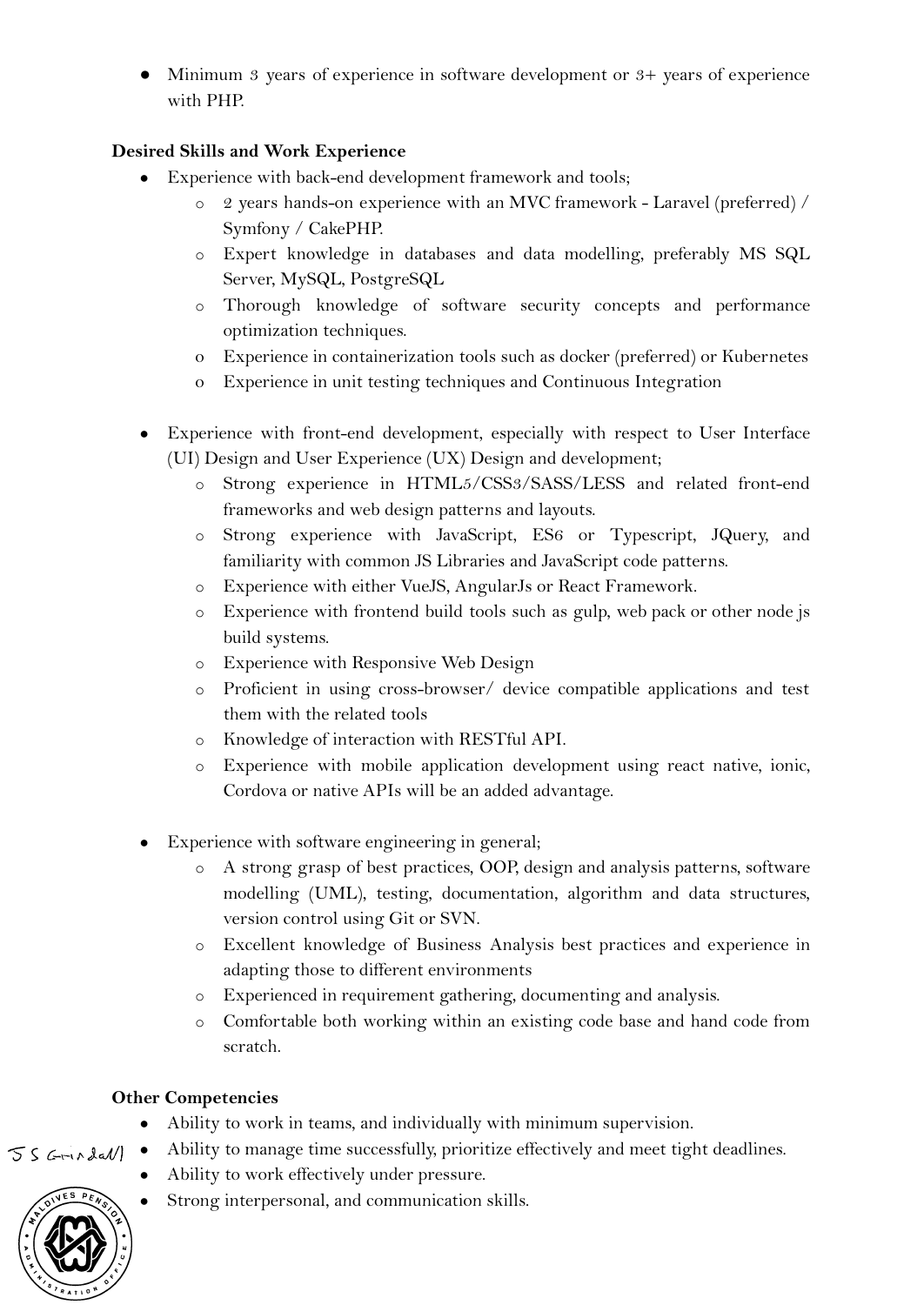● Minimum 3 years of experience in software development or 3+ years of experience with PHP.

#### Desired Skills and Work Experience

- Experience with back-end development framework and tools;
	- o 2 years hands-on experience with an MVC framework Laravel (preferred) / Symfony / CakePHP.
	- o Expert knowledge in databases and data modelling, preferably MS SQL Server, MySQL, PostgreSQL
	- o Thorough knowledge of software security concepts and performance optimization techniques.
	- o Experience in containerization tools such as docker (preferred) or Kubernetes
	- o Experience in unit testing techniques and Continuous Integration
- Experience with front-end development, especially with respect to User Interface (UI) Design and User Experience (UX) Design and development;
	- o Strong experience in HTML5/CSS3/SASS/LESS and related front-end frameworks and web design patterns and layouts.
	- o Strong experience with JavaScript, ES6 or Typescript, JQuery, and familiarity with common JS Libraries and JavaScript code patterns.
	- o Experience with either VueJS, AngularJs or React Framework.
	- o Experience with frontend build tools such as gulp, web pack or other node js build systems.
	- o Experience with Responsive Web Design
	- o Proficient in using cross-browser/ device compatible applications and test them with the related tools
	- o Knowledge of interaction with RESTful API.
	- o Experience with mobile application development using react native, ionic, Cordova or native APIs will be an added advantage.
- Experience with software engineering in general;
	- o A strong grasp of best practices, OOP, design and analysis patterns, software modelling (UML), testing, documentation, algorithm and data structures, version control using Git or SVN.
	- o Excellent knowledge of Business Analysis best practices and experience in adapting those to different environments
	- o Experienced in requirement gathering, documenting and analysis.
	- o Comfortable both working within an existing code base and hand code from scratch.

## Other Competencies

- Ability to work in teams, and individually with minimum supervision.
- Ability to manage time successfully, prioritize effectively and meet tight deadlines.  $55$  Grundall
	- Ability to work effectively under pressure.
	- Strong interpersonal, and communication skills.